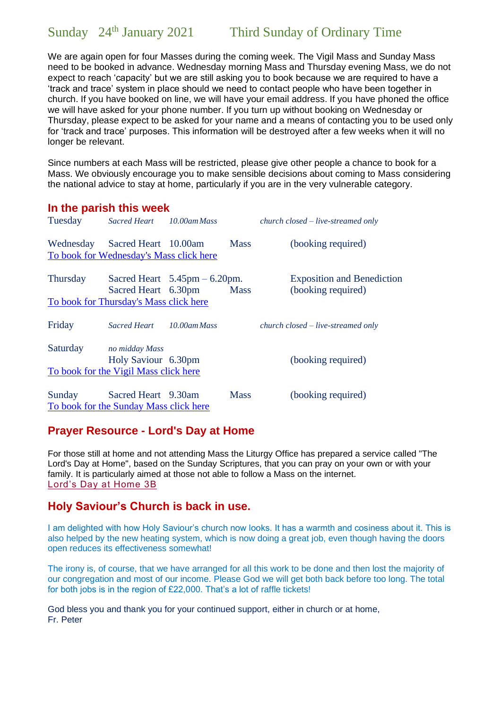We are again open for four Masses during the coming week. The Vigil Mass and Sunday Mass need to be booked in advance. Wednesday morning Mass and Thursday evening Mass, we do not expect to reach 'capacity' but we are still asking you to book because we are required to have a 'track and trace' system in place should we need to contact people who have been together in church. If you have booked on line, we will have your email address. If you have phoned the office we will have asked for your phone number. If you turn up without booking on Wednesday or Thursday, please expect to be asked for your name and a means of contacting you to be used only for 'track and trace' purposes. This information will be destroyed after a few weeks when it will no longer be relevant.

Since numbers at each Mass will be restricted, please give other people a chance to book for a Mass. We obviously encourage you to make sensible decisions about coming to Mass considering the national advice to stay at home, particularly if you are in the very vulnerable category.

## **In the parish this week**

| Tuesday   | Sacred Heart 10.00am Mass                                               |             | $church closed-live-streamed only$                      |
|-----------|-------------------------------------------------------------------------|-------------|---------------------------------------------------------|
| Wednesday | Sacred Heart 10.00am                                                    | <b>Mass</b> | (booking required)                                      |
|           | To book for Wednesday's Mass click here                                 |             |                                                         |
| Thursday  | Sacred Heart $5.45 \text{pm} - 6.20 \text{pm}$ .<br>Sacred Heart 6.30pm | <b>Mass</b> | <b>Exposition and Benediction</b><br>(booking required) |
|           | To book for Thursday's Mass click here                                  |             |                                                         |
| Friday    | Sacred Heart 10.00am Mass                                               |             | $church closed-live-streamed only$                      |
| Saturday  | no midday Mass                                                          |             |                                                         |
|           | Holy Saviour 6.30pm                                                     |             | (booking required)                                      |
|           | To book for the Vigil Mass click here                                   |             |                                                         |
| Sunday    | Sacred Heart 9.30am                                                     | <b>Mass</b> | (booking required)                                      |
|           | To book for the Sunday Mass click here                                  |             |                                                         |

## **Prayer Resource - Lord's Day at Home**

For those still at home and not attending Mass the Liturgy Office has prepared a service called "The Lord's Day at Home", based on the Sunday Scriptures, that you can pray on your own or with your family. It is particularly aimed at those not able to follow a Mass on the internet. [Lord's Day at Home 3B](https://www.dioceseofsalford.org.uk/wp-content/uploads/LDAH-Ordinary-3B.pdf)

## **Holy Saviour's Church is back in use.**

I am delighted with how Holy Saviour's church now looks. It has a warmth and cosiness about it. This is also helped by the new heating system, which is now doing a great job, even though having the doors open reduces its effectiveness somewhat!

The irony is, of course, that we have arranged for all this work to be done and then lost the majority of our congregation and most of our income. Please God we will get both back before too long. The total for both jobs is in the region of £22,000. That's a lot of raffle tickets!

God bless you and thank you for your continued support, either in church or at home, Fr. Peter